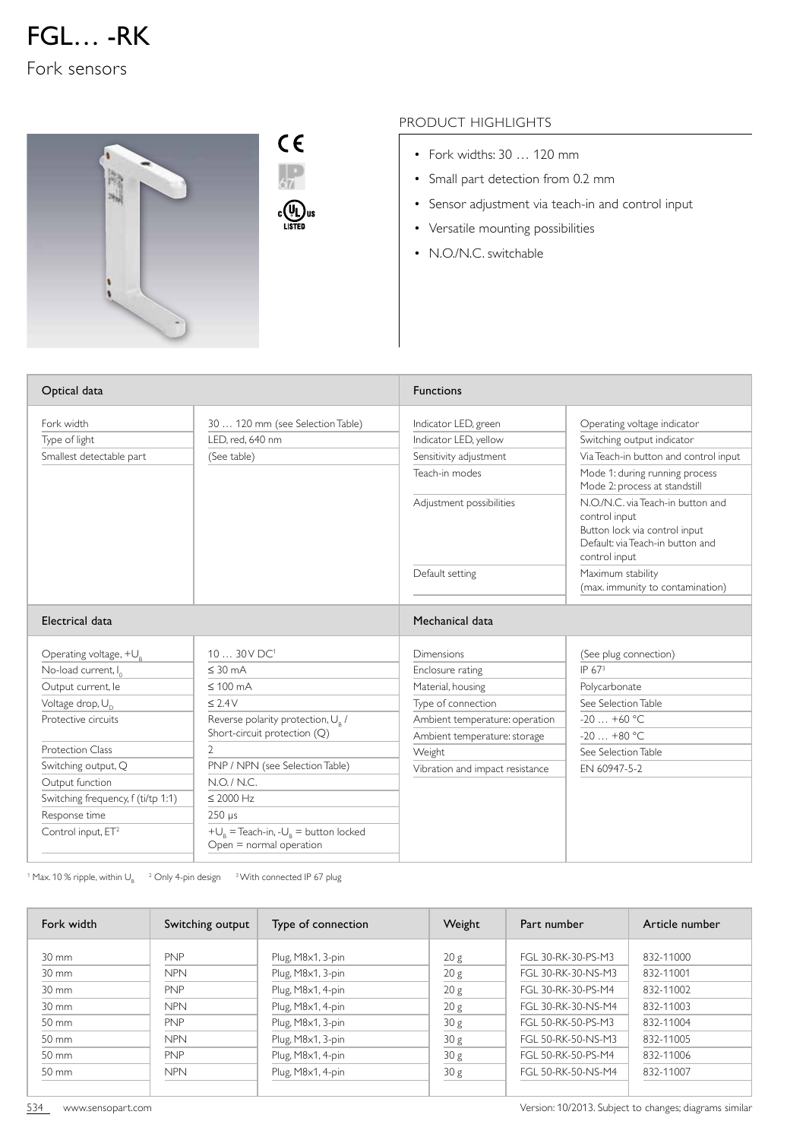

Fork sensors



## PRODUCT HIGHLIGHTS

- Fork widths: 30 … 120 mm
- Small part detection from 0.2 mm
- Sensor adjustment via teach-in and control input
- Versatile mounting possibilities
- N.O./N.C. switchable

| Optical data                       |                                                                                     | <b>Functions</b>                |                                                                                                                                          |  |
|------------------------------------|-------------------------------------------------------------------------------------|---------------------------------|------------------------------------------------------------------------------------------------------------------------------------------|--|
| Fork width                         | 30  120 mm (see Selection Table)                                                    | Indicator LED, green            | Operating voltage indicator                                                                                                              |  |
| Type of light                      | I FD, red, 640 nm                                                                   | Indicator LED, yellow           | Switching output indicator                                                                                                               |  |
| Smallest detectable part           | (See table)                                                                         | Sensitivity adjustment          | Via Teach-in button and control input                                                                                                    |  |
|                                    |                                                                                     | Teach-in modes                  | Mode 1: during running process<br>Mode 2: process at standstill                                                                          |  |
|                                    |                                                                                     | Adjustment possibilities        | N.O./N.C. via Teach-in button and<br>control input<br>Button lock via control input<br>Default: via Teach-in button and<br>control input |  |
|                                    |                                                                                     | Default setting                 | Maximum stability<br>(max. immunity to contamination)                                                                                    |  |
| Electrical data                    |                                                                                     | Mechanical data                 |                                                                                                                                          |  |
| Operating voltage, $+U_{R}$        | $1030V$ DC <sup>1</sup>                                                             | Dimensions                      | (See plug connection)                                                                                                                    |  |
| No-load current, I <sub>0</sub>    | $\leq$ 30 mA                                                                        | Enclosure rating                | IP 673                                                                                                                                   |  |
| Output current, le                 | $\leq 100$ mA                                                                       | Material, housing               | Polycarbonate                                                                                                                            |  |
| Voltage drop, U <sub>n</sub>       | $\leq$ 2.4V                                                                         | Type of connection              | See Selection Table                                                                                                                      |  |
| Protective circuits                | Reverse polarity protection, U <sub>R</sub> /                                       | Ambient temperature: operation  | $-20+60$ °C                                                                                                                              |  |
|                                    | Short-circuit protection (Q)                                                        | Ambient temperature: storage    | $-20+80$ °C                                                                                                                              |  |
| <b>Protection Class</b>            | 2                                                                                   | Weight                          | See Selection Table                                                                                                                      |  |
| Switching output, Q                | PNP / NPN (see Selection Table)                                                     | Vibration and impact resistance | EN 60947-5-2                                                                                                                             |  |
| Output function                    | N.O. / N.C.                                                                         |                                 |                                                                                                                                          |  |
| Switching frequency, f (ti/tp 1:1) | $\leq 2000$ Hz                                                                      |                                 |                                                                                                                                          |  |
| Response time                      | $250 \text{ }\mu\text{s}$                                                           |                                 |                                                                                                                                          |  |
| Control input, ET <sup>2</sup>     | $+U_{\rm R}$ = Teach-in, - $U_{\rm R}$ = button locked<br>$Open = normal operation$ |                                 |                                                                                                                                          |  |

<sup>1</sup> Max. 10 % ripple, within U<sub>B</sub>  $^{-2}$  Only 4-pin design  $^{-3}$  With connected IP 67 plug

| Fork width        | Switching output | Type of connection | Weight          | Part number        | Article number |
|-------------------|------------------|--------------------|-----------------|--------------------|----------------|
| $30 \text{ mm}$   | <b>PNP</b>       | Plug, M8x1, 3-pin  | 20 g            | FGL 30-RK-30-PS-M3 | 832-11000      |
| $30 \, \text{mm}$ | <b>NPN</b>       | Plug, M8x1, 3-pin  | 20 g            | FGI 30-RK-30-NS-M3 | 832-11001      |
| $30 \, \text{mm}$ | <b>PNP</b>       | Plug, M8x1, 4-pin  | 20 g            | FGI 30-RK-30-PS-M4 | 832-11002      |
| 30 mm             | <b>NPN</b>       | Plug, M8x1, 4-pin  | 20 g            | FGL 30-RK-30-NS-M4 | 832-11003      |
| 50 mm             | <b>PNP</b>       | Plug, M8x1, 3-pin  | 30 <sub>g</sub> | FGL 50-RK-50-PS-M3 | 832-11004      |
| 50 mm             | <b>NPN</b>       | Plug, M8x1, 3-pin  | 30 <sub>g</sub> | FGL 50-RK-50-NS-M3 | 832-11005      |
| 50 mm             | <b>PNP</b>       | Plug, M8x1, 4-pin  | 30 <sub>g</sub> | FGL 50-RK-50-PS-M4 | 832-11006      |
| 50 mm             | <b>NPN</b>       | Plug, M8x1, 4-pin  | 30 <sub>g</sub> | FGL 50-RK-50-NS-M4 | 832-11007      |
|                   |                  |                    |                 |                    |                |